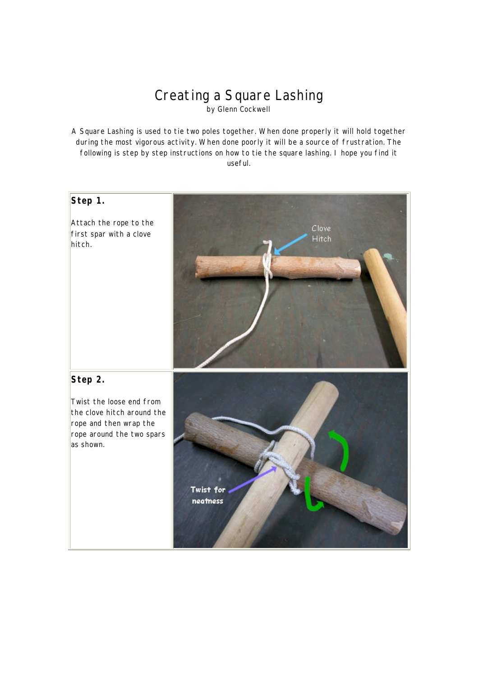# Creating a Square Lashing

by Glenn Cockwell

A Square Lashing is used to tie two poles together. When done properly it will hold together during the most vigorous activity. When done poorly it will be a source of frustration. The following is step by step instructions on how to tie the square lashing. I hope you find it useful.

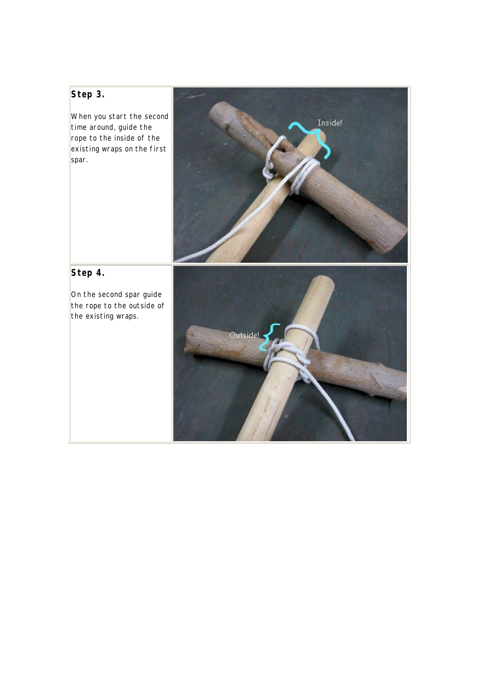## **Step 3.**

 $\sqrt{\frac{1}{1-\frac{1}{1-\frac{1}{1-\frac{1}{1-\frac{1}{1-\frac{1}{1-\frac{1}{1-\frac{1}{1-\frac{1}{1-\frac{1}{1-\frac{1}{1-\frac{1}{1-\frac{1}{1-\frac{1}{1-\frac{1}{1-\frac{1}{1-\frac{1}{1-\frac{1}{1-\frac{1}{1-\frac{1}{1-\frac{1}{1-\frac{1}{1-\frac{1}{1-\frac{1}{1-\frac{1}{1-\frac{1}{1-\frac{1}{1-\frac{1}{1-\frac{1}{1-\frac{1}{1-\frac{1}{1-\frac{1}{1-\frac{1}{1-\frac{1}{1-\frac{1}{1-\frac{1}{1-\frac$ time around, guide the rope to the inside of the  $\left|$  existing wraps on the first spar.



## **Step 4.**

On the second spar guide the rope to the outside of the existing wraps.

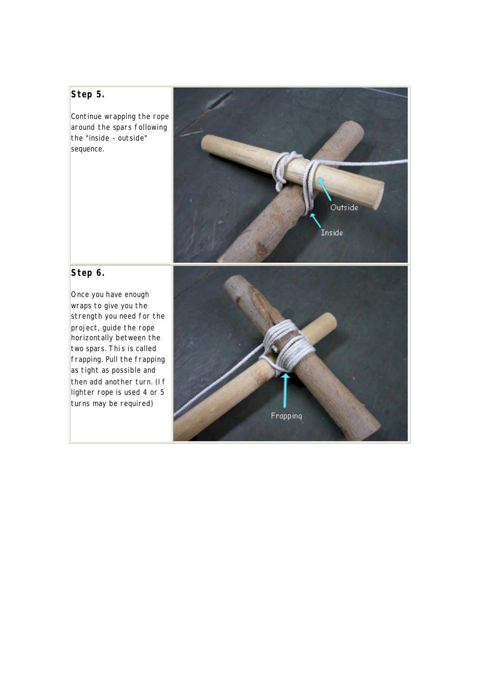## **Step 5.**

Continue wrapping the rope around the spars following the "inside - outside" sequence.



#### **Step 6.**

Once you have enough wraps to give you the strength you need for the project, guide the rope horizontally between the two spars. This is called frapping. Pull the frapping as tight as possible and then add another turn. (If lighter rope is used 4 or 5 turns may be required)

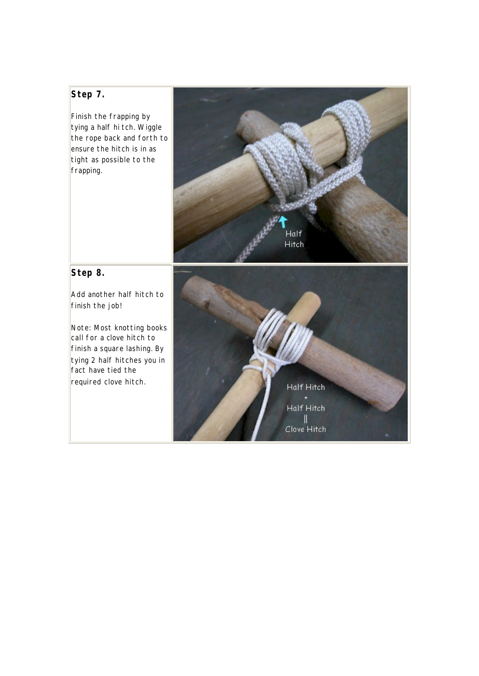## **Step 7.**

Finish the frapping by tying a half hi tch. Wiggle the rope back and forth to ensure the hitch is in as tight as possible to the frapping.



#### **Step 8.**

Add another half hitch to finish the job!

Note: Most knotting books call for a clove hitch to finish a square lashing. By tying 2 half hitches you in fact have tied the required clove hitch.